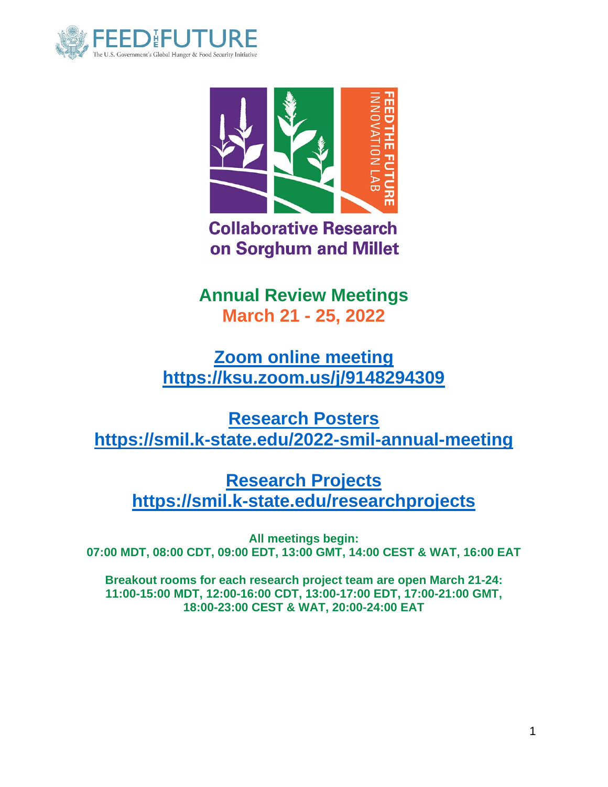



**Collaborative Research** on Sorghum and Millet

**Annual Review Meetings March 21 - 25, 2022**

**[Zoom online meeting](https://ksu.zoom.us/j/9148294309) <https://ksu.zoom.us/j/9148294309>**

**[Research Posters](https://smil.k-state.edu/2022-smil-annual-meeting) <https://smil.k-state.edu/2022-smil-annual-meeting>**

**[Research Projects](https://smil.k-state.edu/researchprojects) <https://smil.k-state.edu/researchprojects>**

**All meetings begin: 07:00 MDT, 08:00 CDT, 09:00 EDT, 13:00 GMT, 14:00 CEST & WAT, 16:00 EAT**

**Breakout rooms for each research project team are open March 21-24: 11:00-15:00 MDT, 12:00-16:00 CDT, 13:00-17:00 EDT, 17:00-21:00 GMT, 18:00-23:00 CEST & WAT, 20:00-24:00 EAT**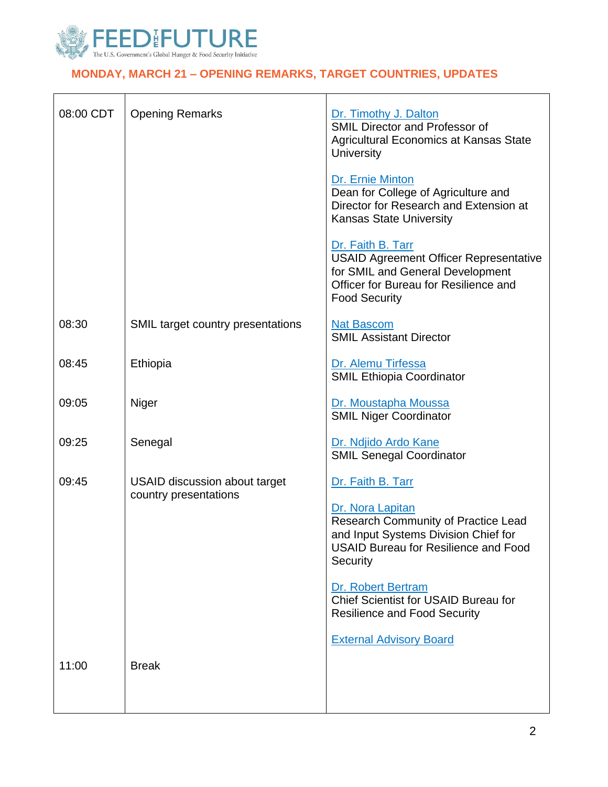

# **[MONDAY, MARCH 21](https://www.feedthefuture.gov/) – OPENING REMARKS, TARGET COUNTRIES, UPDATES**

| 08:00 CDT | <b>Opening Remarks</b>                                        | Dr. Timothy J. Dalton<br><b>SMIL Director and Professor of</b><br>Agricultural Economics at Kansas State<br><b>University</b>                                                                                                                                                               |
|-----------|---------------------------------------------------------------|---------------------------------------------------------------------------------------------------------------------------------------------------------------------------------------------------------------------------------------------------------------------------------------------|
|           |                                                               | Dr. Ernie Minton<br>Dean for College of Agriculture and<br>Director for Research and Extension at<br><b>Kansas State University</b>                                                                                                                                                         |
|           |                                                               | Dr. Faith B. Tarr<br><b>USAID Agreement Officer Representative</b><br>for SMIL and General Development<br>Officer for Bureau for Resilience and<br><b>Food Security</b>                                                                                                                     |
| 08:30     | SMIL target country presentations                             | <b>Nat Bascom</b><br><b>SMIL Assistant Director</b>                                                                                                                                                                                                                                         |
| 08:45     | Ethiopia                                                      | Dr. Alemu Tirfessa<br><b>SMIL Ethiopia Coordinator</b>                                                                                                                                                                                                                                      |
| 09:05     | Niger                                                         | Dr. Moustapha Moussa<br><b>SMIL Niger Coordinator</b>                                                                                                                                                                                                                                       |
| 09:25     | Senegal                                                       | Dr. Ndjido Ardo Kane<br><b>SMIL Senegal Coordinator</b>                                                                                                                                                                                                                                     |
| 09:45     | <b>USAID discussion about target</b><br>country presentations | Dr. Faith B. Tarr<br>Dr. Nora Lapitan<br><b>Research Community of Practice Lead</b><br>and Input Systems Division Chief for<br><b>USAID Bureau for Resilience and Food</b><br>Security<br>Dr. Robert Bertram<br>Chief Scientist for USAID Bureau for<br><b>Resilience and Food Security</b> |
|           |                                                               | <b>External Advisory Board</b>                                                                                                                                                                                                                                                              |
| 11:00     | <b>Break</b>                                                  |                                                                                                                                                                                                                                                                                             |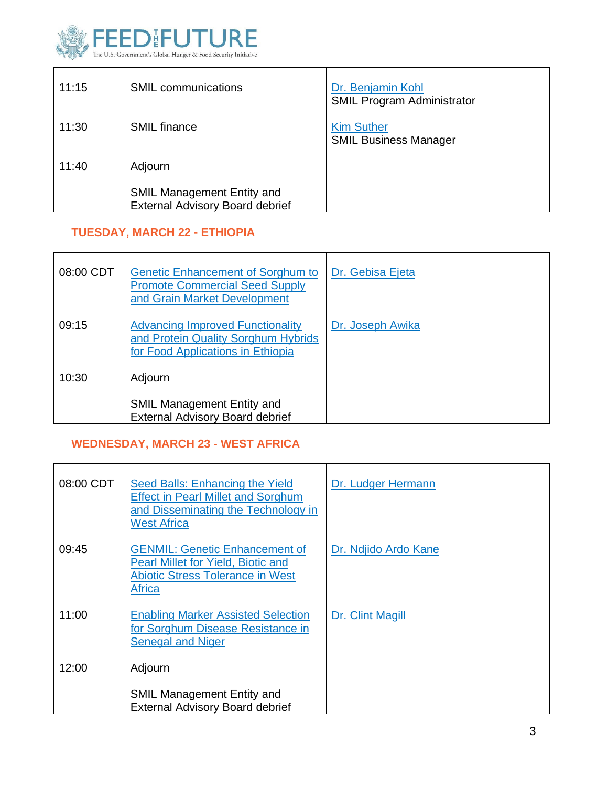

| 11:15 | <b>SMIL</b> communications                                                  | Dr. Benjamin Kohl<br><b>SMIL Program Administrator</b> |
|-------|-----------------------------------------------------------------------------|--------------------------------------------------------|
| 11:30 | <b>SMIL</b> finance                                                         | <b>Kim Suther</b><br><b>SMIL Business Manager</b>      |
| 11:40 | Adjourn                                                                     |                                                        |
|       | <b>SMIL Management Entity and</b><br><b>External Advisory Board debrief</b> |                                                        |

## **TUESDAY, MARCH 22 - ETHIOPIA**

| 08:00 CDT | <b>Genetic Enhancement of Sorghum to</b><br><b>Promote Commercial Seed Supply</b><br>and Grain Market Development   | Dr. Gebisa Ejeta |
|-----------|---------------------------------------------------------------------------------------------------------------------|------------------|
| 09:15     | <b>Advancing Improved Functionality</b><br>and Protein Quality Sorghum Hybrids<br>for Food Applications in Ethiopia | Dr. Joseph Awika |
| 10:30     | Adjourn                                                                                                             |                  |
|           | <b>SMIL Management Entity and</b><br><b>External Advisory Board debrief</b>                                         |                  |

## **WEDNESDAY, MARCH 23 - WEST AFRICA**

| 08:00 CDT | Seed Balls: Enhancing the Yield<br><b>Effect in Pearl Millet and Sorghum</b><br>and Disseminating the Technology in<br><b>West Africa</b> | Dr. Ludger Hermann   |
|-----------|-------------------------------------------------------------------------------------------------------------------------------------------|----------------------|
| 09:45     | <b>GENMIL: Genetic Enhancement of</b><br>Pearl Millet for Yield, Biotic and<br><b>Abiotic Stress Tolerance in West</b><br><b>Africa</b>   | Dr. Ndjido Ardo Kane |
| 11:00     | <b>Enabling Marker Assisted Selection</b><br>for Sorghum Disease Resistance in<br><b>Senegal and Niger</b>                                | Dr. Clint Magill     |
| 12:00     | Adjourn                                                                                                                                   |                      |
|           | <b>SMIL Management Entity and</b><br><b>External Advisory Board debrief</b>                                                               |                      |